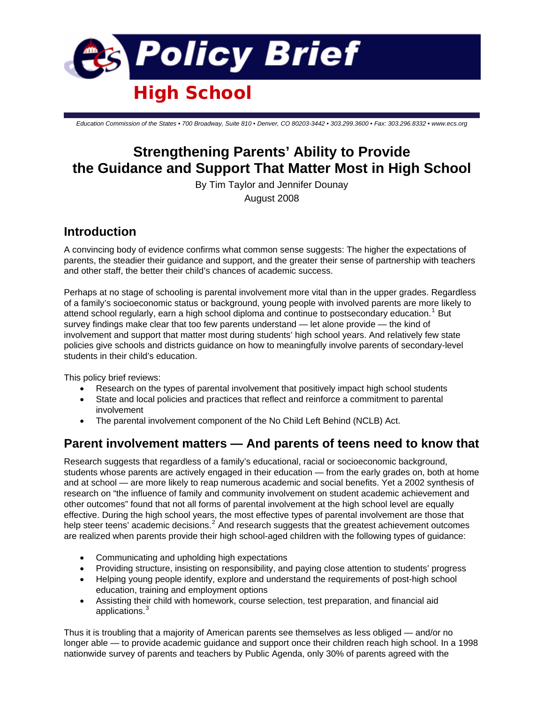

*Education Commission of the States • 700 Broadway, Suite 810 • Denver, CO 80203-3442 • 303.299.3600 • Fax: 303.296.8332 • www.ecs.org*

# **Strengthening Parents' Ability to Provide the Guidance and Support That Matter Most in High School**

By Tim Taylor and Jennifer Dounay August 2008

## **Introduction**

A convincing body of evidence confirms what common sense suggests: The higher the expectations of parents, the steadier their guidance and support, and the greater their sense of partnership with teachers and other staff, the better their child's chances of academic success.

Perhaps at no stage of schooling is parental involvement more vital than in the upper grades. Regardless of a family's socioeconomic status or background, young people with involved parents are more likely to attend school regularly, earn a high school diploma and continue to postsecondary education.<sup>[1](#page-5-0)</sup> But survey findings make clear that too few parents understand — let alone provide — the kind of involvement and support that matter most during students' high school years. And relatively few state policies give schools and districts guidance on how to meaningfully involve parents of secondary-level students in their child's education.

This policy brief reviews:

- Research on the types of parental involvement that positively impact high school students
- State and local policies and practices that reflect and reinforce a commitment to parental involvement
- The parental involvement component of the No Child Left Behind (NCLB) Act.

## **Parent involvement matters — And parents of teens need to know that**

Research suggests that regardless of a family's educational, racial or socioeconomic background, students whose parents are actively engaged in their education — from the early grades on, both at home and at school — are more likely to reap numerous academic and social benefits. Yet a 2002 synthesis of research on "the influence of family and community involvement on student academic achievement and other outcomes" found that not all forms of parental involvement at the high school level are equally effective. During the high school years, the most effective types of parental involvement are those that help steer teens' academic decisions.<sup>[2](#page-5-1)</sup> And research suggests that the greatest achievement outcomes are realized when parents provide their high school-aged children with the following types of guidance:

- Communicating and upholding high expectations
- Providing structure, insisting on responsibility, and paying close attention to students' progress
- Helping young people identify, explore and understand the requirements of post-high school education, training and employment options
- Assisting their child with homework, course selection, test preparation, and financial aid applications.<sup>[3](#page-5-1)</sup>

Thus it is troubling that a majority of American parents see themselves as less obliged — and/or no longer able — to provide academic guidance and support once their children reach high school. In a 1998 nationwide survey of parents and teachers by Public Agenda, only 30% of parents agreed with the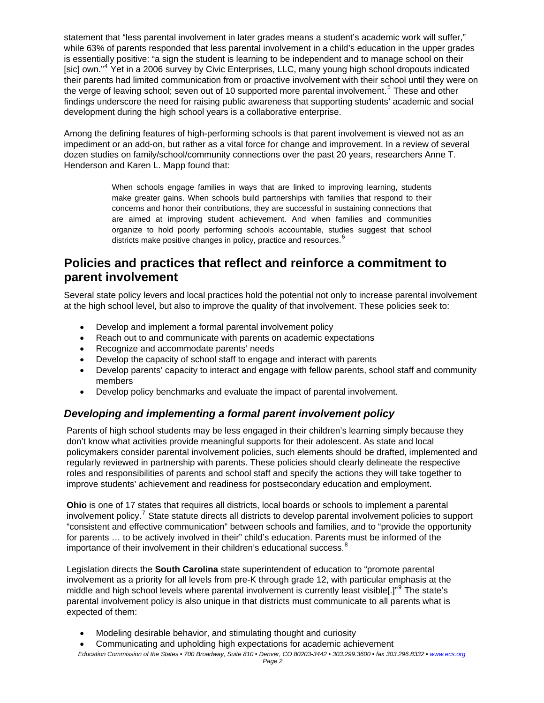statement that "less parental involvement in later grades means a student's academic work will suffer." while 63% of parents responded that less parental involvement in a child's education in the upper grades is essentially positive: "a sign the student is learning to be independent and to manage school on their [sic] own."<sup>[4](#page-5-1)</sup> Yet in a 2006 survey by Civic Enterprises, LLC, many young high school dropouts indicated their parents had limited communication from or proactive involvement with their school until they were on the verge of leaving school; seven out of 10 supported more parental involvement.<sup>[5](#page-5-1)</sup> These and other findings underscore the need for raising public awareness that supporting students' academic and social development during the high school years is a collaborative enterprise.

Among the defining features of high-performing schools is that parent involvement is viewed not as an impediment or an add-on, but rather as a vital force for change and improvement. In a review of several dozen studies on family/school/community connections over the past 20 years, researchers Anne T. Henderson and Karen L. Mapp found that:

> When schools engage families in ways that are linked to improving learning, students make greater gains. When schools build partnerships with families that respond to their concerns and honor their contributions, they are successful in sustaining connections that are aimed at improving student achievement. And when families and communities organize to hold poorly performing schools accountable, studies suggest that school districts make positive changes in policy, practice and resources. [6](#page-5-1)

# **Policies and practices that reflect and reinforce a commitment to parent involvement**

Several state policy levers and local practices hold the potential not only to increase parental involvement at the high school level, but also to improve the quality of that involvement. These policies seek to:

- Develop and implement a formal parental involvement policy
- Reach out to and communicate with parents on academic expectations
- Recognize and accommodate parents' needs
- Develop the capacity of school staff to engage and interact with parents
- Develop parents' capacity to interact and engage with fellow parents, school staff and community members
- Develop policy benchmarks and evaluate the impact of parental involvement.

### *Developing and implementing a formal parent involvement policy*

Parents of high school students may be less engaged in their children's learning simply because they don't know what activities provide meaningful supports for their adolescent. As state and local policymakers consider parental involvement policies, such elements should be drafted, implemented and regularly reviewed in partnership with parents. These policies should clearly delineate the respective roles and responsibilities of parents and school staff and specify the actions they will take together to improve students' achievement and readiness for postsecondary education and employment.

**Ohio** is one of 17 states that requires all districts, local boards or schools to implement a parental involvement policy.<sup>[7](#page-5-1)</sup> State statute directs all districts to develop parental involvement policies to support "consistent and effective communication" between schools and families, and to "provide the opportunity for parents … to be actively involved in their" child's education. Parents must be informed of the importance of their involvement in their children's educational success.<sup>[8](#page-5-1)</sup>

Legislation directs the **South Carolina** state superintendent of education to "promote parental involvement as a priority for all levels from pre-K through grade 12, with particular emphasis at the middle and high school levels where parental involvement is currently least visible[.]"<sup>[9](#page-5-1)</sup> The state's parental involvement policy is also unique in that districts must communicate to all parents what is expected of them:

- Modeling desirable behavior, and stimulating thought and curiosity
- Communicating and upholding high expectations for academic achievement

*Education Commission of the States • 700 Broadway, Suite 810 • Denver, CO 80203-3442 • 303.299.3600 • fax 303.296.8332 • www.ecs.org Page 2*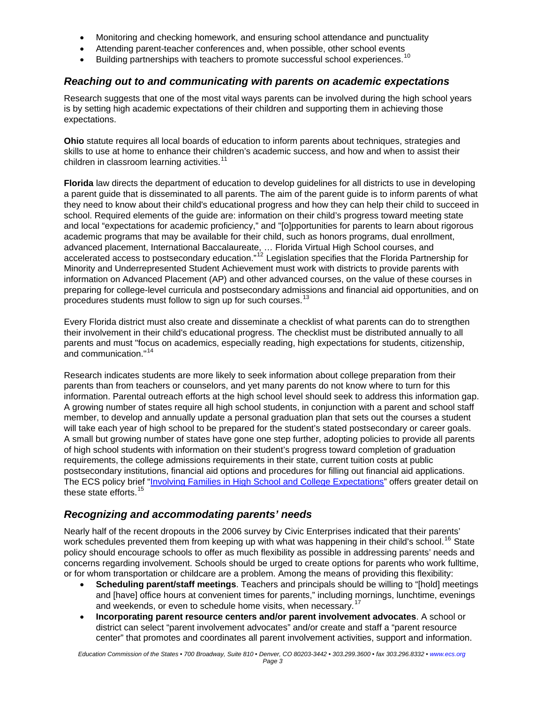- Monitoring and checking homework, and ensuring school attendance and punctuality
- Attending parent-teacher conferences and, when possible, other school events
- Building partnerships with teachers to promote successful school experiences.<sup>[10](#page-5-1)</sup>

### *Reaching out to and communicating with parents on academic expectations*

Research suggests that one of the most vital ways parents can be involved during the high school years is by setting high academic expectations of their children and supporting them in achieving those expectations.

**Ohio** statute requires all local boards of education to inform parents about techniques, strategies and skills to use at home to enhance their children's academic success, and how and when to assist their children in classroom learning activities.<sup>[11](#page-5-1)</sup>

**Florida** law directs the department of education to develop guidelines for all districts to use in developing a parent guide that is disseminated to all parents. The aim of the parent guide is to inform parents of what they need to know about their child's educational progress and how they can help their child to succeed in school. Required elements of the guide are: information on their child's progress toward meeting state and local "expectations for academic proficiency," and "[o]pportunities for parents to learn about rigorous academic programs that may be available for their child, such as honors programs, dual enrollment, advanced placement, International Baccalaureate, … Florida Virtual High School courses, and accelerated access to postsecondary education."[12](#page-5-1) Legislation specifies that the Florida Partnership for Minority and Underrepresented Student Achievement must work with districts to provide parents with information on Advanced Placement (AP) and other advanced courses, on the value of these courses in preparing for college-level curricula and postsecondary admissions and financial aid opportunities, and on procedures students must follow to sign up for such courses.<sup>[13](#page-5-1)</sup>

Every Florida district must also create and disseminate a checklist of what parents can do to strengthen their involvement in their child's educational progress. The checklist must be distributed annually to all parents and must "focus on academics, especially reading, high expectations for students, citizenship, and communication."[14](#page-5-1)

Research indicates students are more likely to seek information about college preparation from their parents than from teachers or counselors, and yet many parents do not know where to turn for this information. Parental outreach efforts at the high school level should seek to address this information gap. A growing number of states require all high school students, in conjunction with a parent and school staff member, to develop and annually update a personal graduation plan that sets out the courses a student will take each year of high school to be prepared for the student's stated postsecondary or career goals. A small but growing number of states have gone one step further, adopting policies to provide all parents of high school students with information on their student's progress toward completion of graduation requirements, the college admissions requirements in their state, current tuition costs at public postsecondary institutions, financial aid options and procedures for filling out financial aid applications. The ECS policy brief ["Involving Families in High School and College Expectations](http://www.ecs.org/html/Document.asp?chouseid=7037)" offers greater detail on these state efforts.<sup>[15](#page-5-1)</sup>

### *Recognizing and accommodating parents' needs*

Nearly half of the recent dropouts in the 2006 survey by Civic Enterprises indicated that their parents' work schedules prevented them from keeping up with what was happening in their child's school.<sup>[16](#page-5-1)</sup> State policy should encourage schools to offer as much flexibility as possible in addressing parents' needs and concerns regarding involvement. Schools should be urged to create options for parents who work fulltime, or for whom transportation or childcare are a problem. Among the means of providing this flexibility:

- **Scheduling parent/staff meetings**. Teachers and principals should be willing to "[hold] meetings and [have] office hours at convenient times for parents," including mornings, lunchtime, evenings and weekends, or even to schedule home visits, when necessary.<sup>1</sup>
- **Incorporating parent resource centers and/or parent involvement advocates**. A school or district can select "parent involvement advocates" and/or create and staff a "parent resource center" that promotes and coordinates all parent involvement activities, support and information.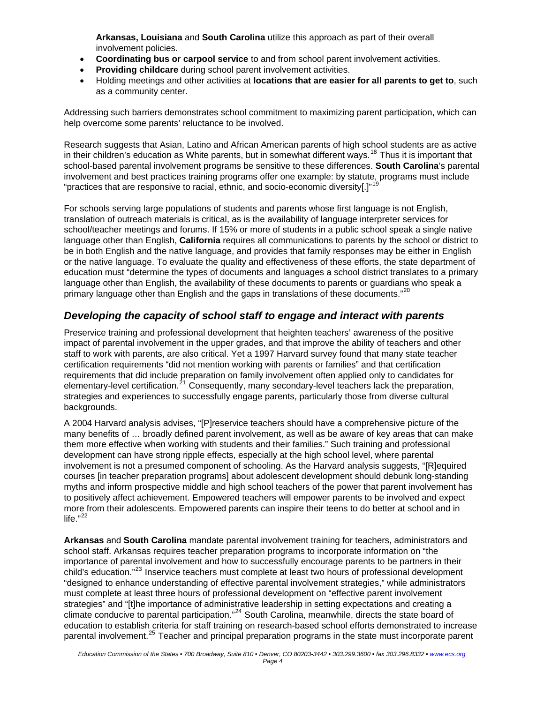**Arkansas, Louisiana** and **South Carolina** utilize this approach as part of their overall involvement policies.

- **Coordinating bus or carpool service** to and from school parent involvement activities.
- **Providing childcare** during school parent involvement activities.
- Holding meetings and other activities at **locations that are easier for all parents to get to**, such as a community center.

Addressing such barriers demonstrates school commitment to maximizing parent participation, which can help overcome some parents' reluctance to be involved.

Research suggests that Asian, Latino and African American parents of high school students are as active in their children's education as White parents, but in somewhat different ways.[18](#page-6-0) Thus it is important that school-based parental involvement programs be sensitive to these differences. **South Carolina**'s parental involvement and best practices training programs offer one example: by statute, programs must include "practices that are responsive to racial, ethnic, and socio-economic diversity[.]"<sup>[19](#page-6-0)</sup>

For schools serving large populations of students and parents whose first language is not English, translation of outreach materials is critical, as is the availability of language interpreter services for school/teacher meetings and forums. If 15% or more of students in a public school speak a single native language other than English, **California** requires all communications to parents by the school or district to be in both English and the native language, and provides that family responses may be either in English or the native language. To evaluate the quality and effectiveness of these efforts, the state department of education must "determine the types of documents and languages a school district translates to a primary language other than English, the availability of these documents to parents or guardians who speak a primary language other than English and the gaps in translations of these documents."<sup>[20](#page-6-0)</sup>

#### *Developing the capacity of school staff to engage and interact with parents*

Preservice training and professional development that heighten teachers' awareness of the positive impact of parental involvement in the upper grades, and that improve the ability of teachers and other staff to work with parents, are also critical. Yet a 1997 Harvard survey found that many state teacher certification requirements "did not mention working with parents or families" and that certification requirements that did include preparation on family involvement often applied only to candidates for elementary-level certification. $21$  Consequently, many secondary-level teachers lack the preparation, strategies and experiences to successfully engage parents, particularly those from diverse cultural backgrounds.

A 2004 Harvard analysis advises, "[P]reservice teachers should have a comprehensive picture of the many benefits of … broadly defined parent involvement, as well as be aware of key areas that can make them more effective when working with students and their families." Such training and professional development can have strong ripple effects, especially at the high school level, where parental involvement is not a presumed component of schooling. As the Harvard analysis suggests, "[R]equired courses [in teacher preparation programs] about adolescent development should debunk long-standing myths and inform prospective middle and high school teachers of the power that parent involvement has to positively affect achievement. Empowered teachers will empower parents to be involved and expect more from their adolescents. Empowered parents can inspire their teens to do better at school and in life." $^{22}$  $^{22}$  $^{22}$ 

**Arkansas** and **South Carolina** mandate parental involvement training for teachers, administrators and school staff. Arkansas requires teacher preparation programs to incorporate information on "the importance of parental involvement and how to successfully encourage parents to be partners in their child's education."<sup>[23](#page-6-0)</sup> Inservice teachers must complete at least two hours of professional development "designed to enhance understanding of effective parental involvement strategies," while administrators must complete at least three hours of professional development on "effective parent involvement strategies" and "[t]he importance of administrative leadership in setting expectations and creating a climate conducive to parental participation."<sup>[24](#page-6-0)</sup> South Carolina, meanwhile, directs the state board of education to establish criteria for staff training on research-based school efforts demonstrated to increase parental involvement.<sup>[25](#page-6-0)</sup> Teacher and principal preparation programs in the state must incorporate parent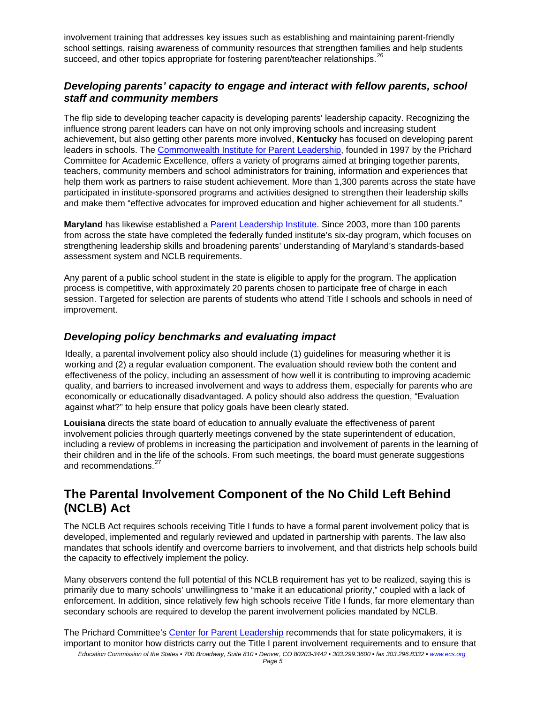involvement training that addresses key issues such as establishing and maintaining parent-friendly school settings, raising awareness of community resources that strengthen families and help students succeed, and other topics appropriate for fostering parent/teacher relationships.<sup>[26](#page-6-0)</sup>

### *Developing parents' capacity to engage and interact with fellow parents, school staff and community members*

The flip side to developing teacher capacity is developing parents' leadership capacity. Recognizing the influence strong parent leaders can have on not only improving schools and increasing student achievement, but also getting other parents more involved, **Kentucky** has focused on developing parent leaders in schools. The [Commonwealth Institute for Parent Leadership,](http://www.cipl.org/) founded in 1997 by the Prichard Committee for Academic Excellence, offers a variety of programs aimed at bringing together parents, teachers, community members and school administrators for training, information and experiences that help them work as partners to raise student achievement. More than 1,300 parents across the state have participated in institute-sponsored programs and activities designed to strengthen their leadership skills and make them "effective advocates for improved education and higher achievement for all students."

**Maryland** has likewise established a [Parent Leadership Institute.](http://fsa.convio.net/site/PageServer?pagename=par_pli_new) Since 2003, more than 100 parents from across the state have completed the federally funded institute's six-day program, which focuses on strengthening leadership skills and broadening parents' understanding of Maryland's standards-based assessment system and NCLB requirements.

Any parent of a public school student in the state is eligible to apply for the program. The application process is competitive, with approximately 20 parents chosen to participate free of charge in each session. Targeted for selection are parents of students who attend Title I schools and schools in need of improvement.

### *Developing policy benchmarks and evaluating impact*

Ideally, a parental involvement policy also should include (1) guidelines for measuring whether it is working and (2) a regular evaluation component. The evaluation should review both the content and effectiveness of the policy, including an assessment of how well it is contributing to improving academic quality, and barriers to increased involvement and ways to address them, especially for parents who are economically or educationally disadvantaged. A policy should also address the question, "Evaluation against what?" to help ensure that policy goals have been clearly stated.

**Louisiana** directs the state board of education to annually evaluate the effectiveness of parent involvement policies through quarterly meetings convened by the state superintendent of education, including a review of problems in increasing the participation and involvement of parents in the learning of their children and in the life of the schools. From such meetings, the board must generate suggestions and recommendations.<sup>[27](#page-6-0)</sup>

## **The Parental Involvement Component of the No Child Left Behind (NCLB) Act**

The NCLB Act requires schools receiving Title I funds to have a formal parent involvement policy that is developed, implemented and regularly reviewed and updated in partnership with parents. The law also mandates that schools identify and overcome barriers to involvement, and that districts help schools build the capacity to effectively implement the policy.

Many observers contend the full potential of this NCLB requirement has yet to be realized, saying this is primarily due to many schools' unwillingness to "make it an educational priority," coupled with a lack of enforcement. In addition, since relatively few high schools receive Title I funds, far more elementary than secondary schools are required to develop the parent involvement policies mandated by NCLB.

*Education Commission of the States • 700 Broadway, Suite 810 • Denver, CO 80203-3442 • 303.299.3600 • fax 303.296.8332 • www.ecs.org* The Prichard Committee's [Center for Parent Leadership](http://www.prichardcommittee.org/CPL/tabid/31492/Default.aspx) recommends that for state policymakers, it is important to monitor how districts carry out the Title I parent involvement requirements and to ensure that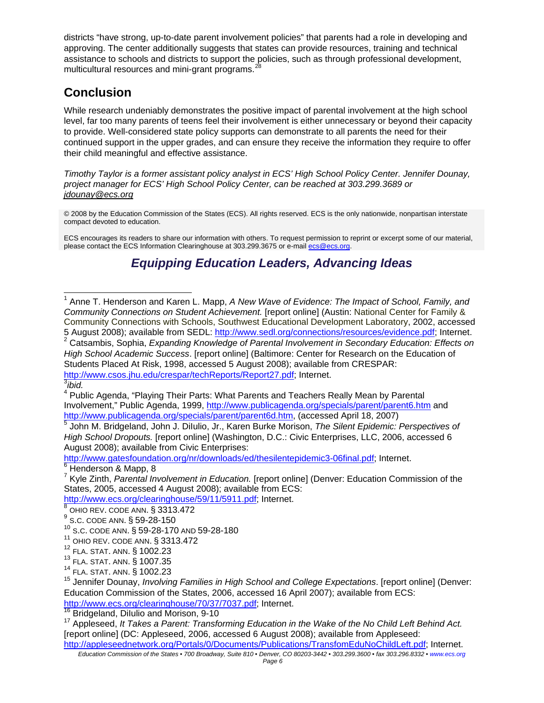<span id="page-5-1"></span>districts "have strong, up-to-date parent involvement policies" that parents had a role in developing and approving. The center additionally suggests that states can provide resources, training and technical assistance to schools and districts to support the policies, such as through professional development, multicultural resources and mini-grant programs.<sup>2</sup>

# **Conclusion**

While research undeniably demonstrates the positive impact of parental involvement at the high school level, far too many parents of teens feel their involvement is either unnecessary or beyond their capacity to provide. Well-considered state policy supports can demonstrate to all parents the need for their continued support in the upper grades, and can ensure they receive the information they require to offer their child meaningful and effective assistance.

*Timothy Taylor is a former assistant policy analyst in ECS' High School Policy Center. Jennifer Dounay, project manager for ECS' High School Policy Center, can be reached at 303.299.3689 or jdounay@ecs.org*

© 2008 by the Education Commission of the States (ECS). All rights reserved. ECS is the only nationwide, nonpartisan interstate compact devoted to education.

ECS encourages its readers to share our information with others. To request permission to reprint or excerpt some of our material, please contact the ECS Information Clearinghouse at 303.299.3675 or e-mail [ecs@ecs.org](mailto:ecs@ecs.org).

# *Equipping Education Leaders, Advancing Ideas*

2 Catsambis, Sophia, *Expanding Knowledge of Parental Involvement in Secondary Education: Effects on High School Academic Success*. [report online] (Baltimore: Center for Research on the Education of Students Placed At Risk, 1998, accessed 5 August 2008); available from CRESPAR: <http://www.csos.jhu.edu/crespar/techReports/Report27.pdf>; Internet. 3 *ibid.*

l

<sup>4</sup> Public Agenda, "Playing Their Parts: What Parents and Teachers Really Mean by Parental Involvement," Public Agenda, 1999, http://www.publicagenda.org/specials/parent/parent6.htm and http://www.publicagenda.org/specials/parent/parent6d.htm, (accessed April 18, 2007)

http://www.gatesfoundation.org/nr/downloads/ed/thesilentepidemic3-06final.pdf; Internet. <sup>6</sup> Henderson & Mapp, 8

7 Kyle Zinth, *Parental Involvement in Education.* [report online] (Denver: Education Commission of the States, 2005, accessed 4 August 2008); available from ECS:

http://www.ecs.org/clearinghouse/59/11/5911.pdf; Internet.

 $9^9$  S.C. CODE ANN.  $$59-28-150$ <br> $^{10}$  S.C. CODE ANN.  $$59-28-170$ 

<span id="page-5-0"></span><sup>&</sup>lt;sup>1</sup> Anne T. Henderson and Karen L. Mapp, *A New Wave of Evidence: The Impact of School, Family, and Community Connections on Student Achievement.* [report online] (Austin: National Center for Family & Community Connections with Schools, Southwest Educational Development Laboratory, 2002, accessed 5 August 2008); available from SEDL: http://www.sedl.org/connections/resources/evidence.pdf; Internet.

<sup>5</sup> John M. Bridgeland, John J. DiIulio, Jr., Karen Burke Morison, *The Silent Epidemic: Perspectives of High School Dropouts.* [report online] (Washington, D.C.: Civic Enterprises, LLC, 2006, accessed 6 August 2008); available from Civic Enterprises:

 $8$  OHIO REV. CODE ANN.  $\S$  3313.472

S.C. CODE ANN. § 59-28-170 AND 59-28-180

<sup>11</sup> OHIO REV. CODE ANN. § 3313.472

<sup>12</sup> FLA. STAT. ANN. § 1002.23

<sup>&</sup>lt;sup>13</sup> FLA. STAT. ANN. § 1007.35

<sup>14</sup> FLA. STAT. ANN. § 1002.23

<sup>15</sup> Jennifer Dounay, *Involving Families in High School and College Expectations*. [report online] (Denver: Education Commission of the States, 2006, accessed 16 April 2007); available from ECS: http://www.ecs.org/clearinghouse/70/37/7037.pdf; Internet.<br><sup>16</sup> Bridgeland, Dilulio and Morison, 9-10

<sup>&</sup>lt;sup>17</sup> Appleseed, *It Takes a Parent: Transforming Education in the Wake of the No Child Left Behind Act.* [report online] (DC: Appleseed, 2006, accessed 6 August 2008); available from Appleseed:

*Education Commission of the States • 700 Broadway, Suite 810 • Denver, CO 80203-3442 • 303.299.3600 • fax 303.296.8332 • www.ecs.org* http://appleseednetwork.org/Portals/0/Documents/Publications/TransfomEduNoChildLeft.pdf; Internet.